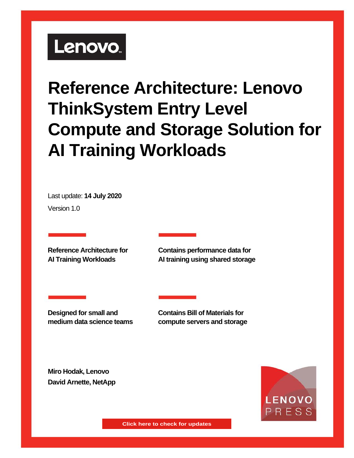# Lenovo.

# **Reference Architecture: Lenovo ThinkSystem Entry Level Compute and Storage Solution for AI Training Workloads**

Last update: **14 July 2020** Version 1.0

**Reference Architecture for AI Training Workloads** 

**Contains performance data for AI training using shared storage**

**Designed for small and medium data science teams** **Contains Bill of Materials for compute servers and storage**

**Miro Hodak, Lenovo David Arnette, NetApp**



**Click here to check for updates**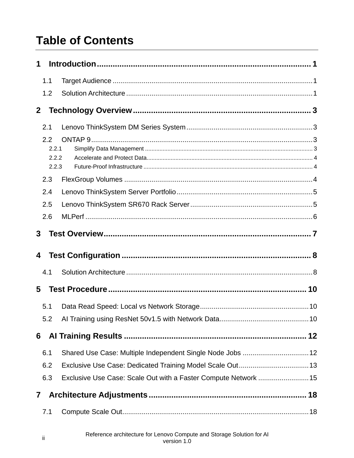### **Table of Contents**

| 1              |                |                                                                 |  |
|----------------|----------------|-----------------------------------------------------------------|--|
|                | 1.1            |                                                                 |  |
|                | 1.2            |                                                                 |  |
| 2 <sup>1</sup> |                |                                                                 |  |
|                | 2.1            |                                                                 |  |
|                | 2.2            |                                                                 |  |
|                | 2.2.1          |                                                                 |  |
|                | 2.2.2<br>2.2.3 |                                                                 |  |
|                | 2.3            |                                                                 |  |
|                | 2.4            |                                                                 |  |
|                | 2.5            |                                                                 |  |
|                | 2.6            |                                                                 |  |
| 3              |                |                                                                 |  |
|                |                |                                                                 |  |
| 4              |                |                                                                 |  |
|                | 4.1            |                                                                 |  |
| 5              |                |                                                                 |  |
|                | 5.1            |                                                                 |  |
|                | 5.2            |                                                                 |  |
| 6              |                |                                                                 |  |
|                | 6.1            | Shared Use Case: Multiple Independent Single Node Jobs  12      |  |
|                | 6.2            | Exclusive Use Case: Dedicated Training Model Scale Out 13       |  |
|                | 6.3            | Exclusive Use Case: Scale Out with a Faster Compute Network  15 |  |
| $\mathbf{7}$   |                |                                                                 |  |
|                | 7.1            |                                                                 |  |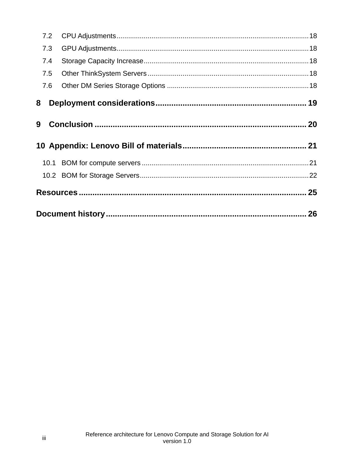| 7.2 |  |
|-----|--|
| 7.3 |  |
| 7.4 |  |
| 7.5 |  |
| 7.6 |  |
| 8   |  |
| 9   |  |
|     |  |
|     |  |
|     |  |
|     |  |
|     |  |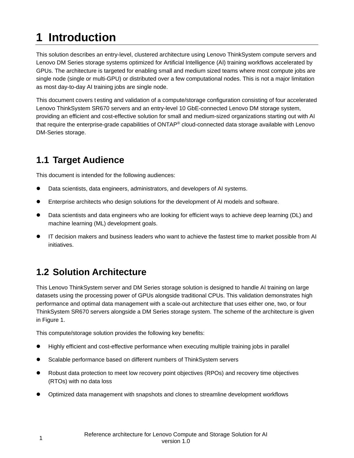## <span id="page-3-0"></span>**1 Introduction**

This solution describes an entry-level, clustered architecture using Lenovo ThinkSystem compute servers and Lenovo DM Series storage systems optimized for Artificial Intelligence (AI) training workflows accelerated by GPUs. The architecture is targeted for enabling small and medium sized teams where most compute jobs are single node (single or multi-GPU) or distributed over a few computational nodes. This is not a major limitation as most day-to-day AI training jobs are single node.

This document covers t esting and validation of a compute/storage configuration consisting of four accelerated Lenovo ThinkSystem SR670 servers and an entry-level 10 GbE-connected Lenovo DM storage system, providing an efficient and cost-effective solution for small and medium-sized organizations starting out with AI that require the enterprise-grade capabilities of ONTAP® cloud-connected data storage available with Lenovo DM-Series storage.

### <span id="page-3-1"></span>**1.1 Target Audience**

This document is intended for the following audiences:

- Data scientists, data engineers, administrators, and developers of AI systems.
- Enterprise architects who design solutions for the development of AI models and software.
- Data scientists and data engineers who are looking for efficient ways to achieve deep learning (DL) and machine learning (ML) development goals.
- IT decision makers and business leaders who want to achieve the fastest time to market possible from AI initiatives.

#### <span id="page-3-2"></span>**1.2 Solution Architecture**

This Lenovo ThinkSystem server and DM Series storage solution is designed to handle AI training on large datasets using the processing power of GPUs alongside traditional CPUs. This validation demonstrates high performance and optimal data management with a scale-out architecture that uses either one, two, or four ThinkSystem SR670 servers alongside a DM Series storage system. The scheme of the architecture is given in Figure 1.

This compute/storage solution provides the following key benefits:

- Highly efficient and cost-effective performance when executing multiple training jobs in parallel
- Scalable performance based on different numbers of ThinkSystem servers
- Robust data protection to meet low recovery point objectives (RPOs) and recovery time objectives (RTOs) with no data loss
- Optimized data management with snapshots and clones to streamline development workflows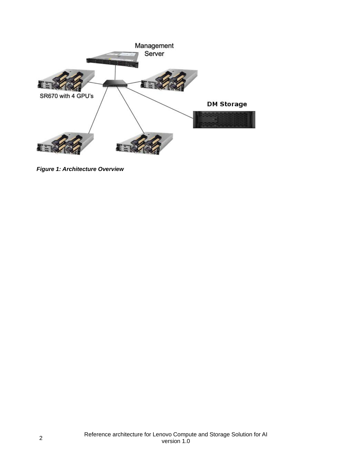

*Figure 1: Architecture Overview*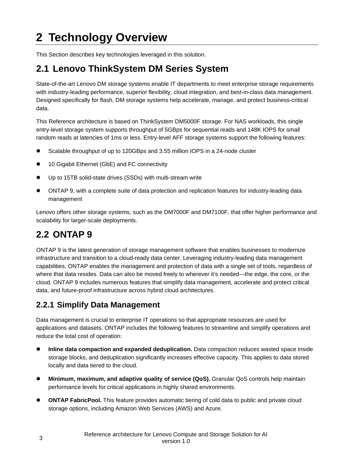### <span id="page-5-0"></span>**2 Technology Overview**

This Section describes key technologies leveraged in this solution.

#### <span id="page-5-1"></span>**2.1 Lenovo ThinkSystem DM Series System**

State-of-the-art Lenovo DM storage systems enable IT departments to meet enterprise storage requirements with industry-leading performance, superior flexibility, cloud integration, and best-in-class data management. Designed specifically for flash, DM storage systems help accelerate, manage, and protect business-critical data.

This Reference architecture is based on ThinkSystem DM5000F storage. For NAS workloads, this single entry-level storage system supports throughput of 5GBps for sequential reads and 148K IOPS for small random reads at latencies of 1ms or less. Entry-level AFF storage systems support the following features:

- Scalable throughput of up to 120GBps and 3.55 million IOPS in a 24-node cluster
- 10 Gigabit Ethernet (GbE) and FC connectivity
- Up to 15TB solid-state drives (SSDs) with multi-stream write
- ONTAP 9, with a complete suite of data protection and replication features for industry-leading data management

Lenovo offers other storage systems, such as the DM7000F and DM7100F, that offer higher performance and scalability for larger-scale deployments.

#### <span id="page-5-2"></span>**2.2 ONTAP 9**

ONTAP 9 is the latest generation of storage management software that enables businesses to modernize infrastructure and transition to a cloud-ready data center. Leveraging industry-leading data management capabilities, ONTAP enables the management and protection of data with a single set of tools, regardless of where that data resides. Data can also be moved freely to wherever it's needed—the edge, the core, or the cloud. ONTAP 9 includes numerous features that simplify data management, accelerate and protect critical data, and future-proof infrastructure across hybrid cloud architectures.

#### <span id="page-5-3"></span>**2.2.1 Simplify Data Management**

Data management is crucial to enterprise IT operations so that appropriate resources are used for applications and datasets. ONTAP includes the following features to streamline and simplify operations and reduce the total cost of operation:

- **Inline data compaction and expanded deduplication.** Data compaction reduces wasted space inside storage blocks, and deduplication significantly increases effective capacity. This applies to data stored locally and data tiered to the cloud.
- **Minimum, maximum, and adaptive quality of service (QoS).** Granular QoS controls help maintain performance levels for critical applications in highly shared environments.
- **ONTAP FabricPool.** This feature provides automatic tiering of cold data to public and private cloud storage options, including Amazon Web Services (AWS) and Azure.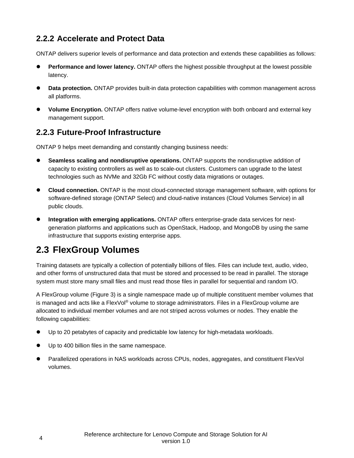#### <span id="page-6-0"></span>**2.2.2 Accelerate and Protect Data**

ONTAP delivers superior levels of performance and data protection and extends these capabilities as follows:

- **Performance and lower latency.** ONTAP offers the highest possible throughput at the lowest possible latency.
- **Data protection.** ONTAP provides built-in data protection capabilities with common management across all platforms.
- **Volume Encryption.** ONTAP offers native volume-level encryption with both onboard and external key management support.

#### <span id="page-6-1"></span>**2.2.3 Future-Proof Infrastructure**

ONTAP 9 helps meet demanding and constantly changing business needs:

- **Seamless scaling and nondisruptive operations.** ONTAP supports the nondisruptive addition of capacity to existing controllers as well as to scale-out clusters. Customers can upgrade to the latest technologies such as NVMe and 32Gb FC without costly data migrations or outages.
- **Cloud connection.** ONTAP is the most cloud-connected storage management software, with options for software-defined storage (ONTAP Select) and cloud-native instances (Cloud Volumes Service) in all public clouds.
- **Integration with emerging applications.** ONTAP offers enterprise-grade data services for nextgeneration platforms and applications such as OpenStack, Hadoop, and MongoDB by using the same infrastructure that supports existing enterprise apps.

#### <span id="page-6-2"></span>**2.3 FlexGroup Volumes**

Training datasets are typically a collection of potentially billions of files. Files can include text, audio, video, and other forms of unstructured data that must be stored and processed to be read in parallel. The storage system must store many small files and must read those files in parallel for sequential and random I/O.

A FlexGroup volume (Figure 3) is a single namespace made up of multiple constituent member volumes that is managed and acts like a FlexVol® volume to storage administrators. Files in a FlexGroup volume are allocated to individual member volumes and are not striped across volumes or nodes. They enable the following capabilities:

- Up to 20 petabytes of capacity and predictable low latency for high-metadata workloads.
- Up to 400 billion files in the same namespace.
- Parallelized operations in NAS workloads across CPUs, nodes, aggregates, and constituent FlexVol volumes.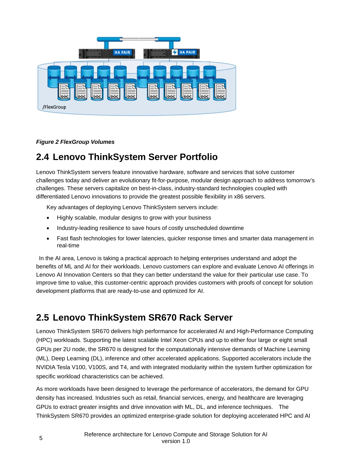

*Figure 2 FlexGroup Volumes*

#### <span id="page-7-0"></span>**2.4 Lenovo ThinkSystem Server Portfolio**

Lenovo ThinkSystem servers feature innovative hardware, software and services that solve customer challenges today and deliver an evolutionary fit-for-purpose, modular design approach to address tomorrow's challenges. These servers capitalize on best-in-class, industry-standard technologies coupled with differentiated Lenovo innovations to provide the greatest possible flexibility in x86 servers.

Key advantages of deploying Lenovo ThinkSystem servers include:

- Highly scalable, modular designs to grow with your business
- Industry-leading resilience to save hours of costly unscheduled downtime
- Fast flash technologies for lower latencies, quicker response times and smarter data management in real-time

In the AI area, Lenovo is taking a practical approach to helping enterprises understand and adopt the benefits of ML and AI for their workloads. Lenovo customers can explore and evaluate Lenovo AI offerings in Lenovo AI Innovation Centers so that they can better understand the value for their particular use case. To improve time to value, this customer-centric approach provides customers with proofs of concept for solution development platforms that are ready-to-use and optimized for AI.

#### <span id="page-7-1"></span>**2.5 Lenovo ThinkSystem SR670 Rack Server**

Lenovo ThinkSystem SR670 delivers high performance for accelerated AI and High-Performance Computing (HPC) workloads. Supporting the latest scalable Intel Xeon CPUs and up to either four large or eight small GPUs per 2U node, the SR670 is designed for the computationally intensive demands of Machine Learning (ML), Deep Learning (DL), inference and other accelerated applications. Supported accelerators include the NVIDIA Tesla V100, V100S, and T4, and with integrated modularity within the system further optimization for specific workload characteristics can be achieved.

As more workloads have been designed to leverage the performance of accelerators, the demand for GPU density has increased. Industries such as retail, financial services, energy, and healthcare are leveraging GPUs to extract greater insights and drive innovation with ML, DL, and inference techniques. The ThinkSystem SR670 provides an optimized enterprise-grade solution for deploying accelerated HPC and AI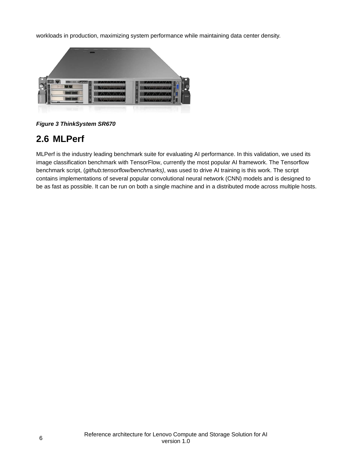workloads in production, maximizing system performance while maintaining data center density.



*Figure 3 ThinkSystem SR670*

#### <span id="page-8-0"></span>**2.6 MLPerf**

MLPerf is the industry leading benchmark suite for evaluating AI performance. In this validation, we used its image classification benchmark with TensorFlow, currently the most popular AI framework. The Tensorflow benchmark script, (*github:tensorflow/benchmarks)*, was used to drive AI training is this work. The script contains implementations of several popular convolutional neural network (CNN) models and is designed to be as fast as possible. It can be run on both a single machine and in a distributed mode across multiple hosts.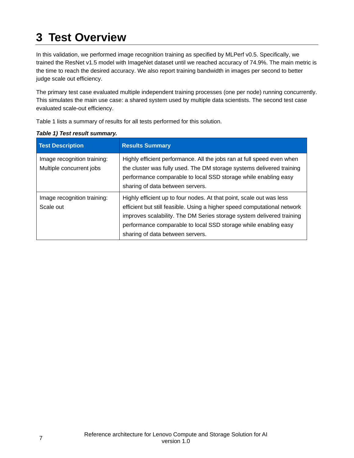### <span id="page-9-0"></span>**3 Test Overview**

In this validation, we performed image recognition training as specified by MLPerf v0.5. Specifically, we trained the ResNet v1.5 model with ImageNet dataset until we reached accuracy of 74.9%. The main metric is the time to reach the desired accuracy. We also report training bandwidth in images per second to better judge scale out efficiency.

The primary test case evaluated multiple independent training processes (one per node) running concurrently. This simulates the main use case: a shared system used by multiple data scientists. The second test case evaluated scale-out efficiency.

[Table 1](#page-9-1) lists a summary of results for all tests performed for this solution.

| <b>Test Description</b>                                 | <b>Results Summary</b>                                                                                                                                                                                                                                                                                                           |
|---------------------------------------------------------|----------------------------------------------------------------------------------------------------------------------------------------------------------------------------------------------------------------------------------------------------------------------------------------------------------------------------------|
| Image recognition training:<br>Multiple concurrent jobs | Highly efficient performance. All the jobs ran at full speed even when<br>the cluster was fully used. The DM storage systems delivered training<br>performance comparable to local SSD storage while enabling easy<br>sharing of data between servers.                                                                           |
| Image recognition training:<br>Scale out                | Highly efficient up to four nodes. At that point, scale out was less<br>efficient but still feasible. Using a higher speed computational network<br>improves scalability. The DM Series storage system delivered training<br>performance comparable to local SSD storage while enabling easy<br>sharing of data between servers. |

#### <span id="page-9-1"></span>*Table 1) Test result summary.*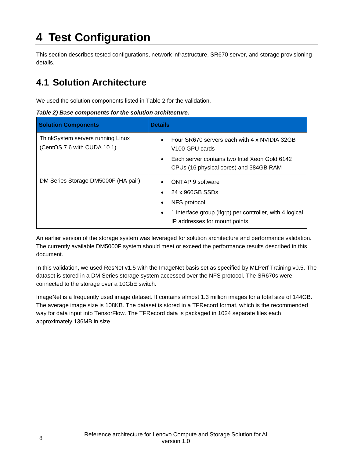### <span id="page-10-0"></span>**4 Test Configuration**

This section describes tested configurations, network infrastructure, SR670 server, and storage provisioning details.

#### <span id="page-10-1"></span>**4.1 Solution Architecture**

We used the solution components listed in [Table 2](#page-10-2) for the validation.

#### <span id="page-10-2"></span>*Table 2) Base components for the solution architecture.*

| <b>Solution Components</b>                                       | <b>Details</b>                                                                            |
|------------------------------------------------------------------|-------------------------------------------------------------------------------------------|
| ThinkSystem servers running Linux<br>(CentOS 7.6 with CUDA 10.1) | Four SR670 servers each with 4 x NVIDIA 32GB<br>V <sub>100</sub> GPU cards                |
|                                                                  | Each server contains two Intel Xeon Gold 6142<br>CPUs (16 physical cores) and 384GB RAM   |
| DM Series Storage DM5000F (HA pair)                              | ONTAP 9 software                                                                          |
|                                                                  | 24 x 960GB SSDs                                                                           |
|                                                                  | NFS protocol                                                                              |
|                                                                  | 1 interface group (ifgrp) per controller, with 4 logical<br>IP addresses for mount points |

An earlier version of the storage system was leveraged for solution architecture and performance validation. The currently available DM5000F system should meet or exceed the performance results described in this document.

In this validation, we used ResNet v1.5 with the ImageNet basis set as specified by MLPerf Training v0.5. The dataset is stored in a DM Series storage system accessed over the NFS protocol. The SR670s were connected to the storage over a 10GbE switch.

ImageNet is a frequently used image dataset. It contains almost 1.3 million images for a total size of 144GB. The average image size is 108KB. The dataset is stored in a TFRecord format, which is the recommended way for data input into TensorFlow. The TFRecord data is packaged in 1024 separate files each approximately 136MB in size.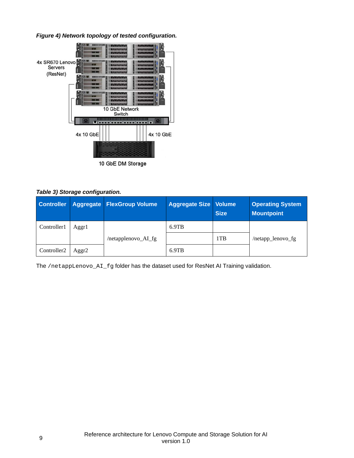*Figure 4) Network topology of tested configuration.*



|  |  | Table 3) Storage configuration. |
|--|--|---------------------------------|
|--|--|---------------------------------|

|                         |                   | Controller Aggregate FlexGroup Volume | <b>Aggregate Size   Volume</b> | <b>Size</b> | <b>Operating System</b><br><b>Mountpoint</b> |
|-------------------------|-------------------|---------------------------------------|--------------------------------|-------------|----------------------------------------------|
| Controller1             | Aggr1             |                                       | 6.9TB                          |             |                                              |
|                         |                   | /netapplenovo_AI_fg                   |                                | 1TB         | /netapp_lenovo_fg                            |
| Controller <sub>2</sub> | Aggr <sub>2</sub> |                                       | $6.9$ TB                       |             |                                              |

The /netappLenovo\_AI\_fg folder has the dataset used for ResNet AI Training validation.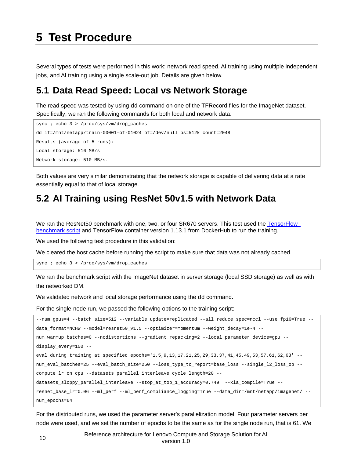<span id="page-12-0"></span>Several types of tests were performed in this work: network read speed, AI training using multiple independent jobs, and AI training using a single scale-out job. Details are given below.

#### <span id="page-12-1"></span>**5.1 Data Read Speed: Local vs Network Storage**

The read speed was tested by using dd command on one of the TFRecord files for the ImageNet dataset. Specifically, we ran the following commands for both local and network data:

```
sync ; echo 3 > /proc/sys/vm/drop_caches
dd if=/mnt/netapp/train-00001-of-01024 of=/dev/null bs=512k count=2048
Results (average of 5 runs):
Local storage: 516 MB/s
Network storage: 510 MB/s.
```
Both values are very similar demonstrating that the network storage is capable of delivering data at a rate essentially equal to that of local storage.

#### <span id="page-12-2"></span>**5.2 AI Training using ResNet 50v1.5 with Network Data**

We ran the ResNet50 benchmark with one, two, or four SR670 servers. This test used the TensorFlow [benchmark script](https://github.com/mlperf/training_results_v0.5/tree/master/v0.5.0/google/cloud_v100x8/code/resnet/benchmarks) and TensorFlow container version 1.13.1 from DockerHub to run the training.

We used the following test procedure in this validation:

We cleared the host cache before running the script to make sure that data was not already cached.

sync ; echo 3 > /proc/sys/vm/drop\_caches

We ran the benchmark script with the ImageNet dataset in server storage (local SSD storage) as well as with the networked DM.

We validated network and local storage performance using the dd command.

For the single-node run, we passed the following options to the training script:

```
--num_gpus=4 --batch_size=512 --variable_update=replicated --all_reduce_spec=nccl --use_fp16=True --
data_format=NCHW --model=resnet50_v1.5 --optimizer=momentum --weight_decay=1e-4 --
num_warmup_batches=0 --nodistortions --gradient_repacking=2 --local_parameter_device=gpu --
display_every=100 --
eval_during_training_at_specified_epochs='1,5,9,13,17,21,25,29,33,37,41,45,49,53,57,61,62,63' --
num_eval_batches=25 --eval_batch_size=250 --loss_type_to_report=base_loss --single_l2_loss_op --
compute_lr_on_cpu --datasets_parallel_interleave_cycle_length=20 --
datasets_sloppy_parallel_interleave --stop_at_top_1_accuracy=0.749 --xla_compile=True --
resnet_base_lr=0.06 --ml_perf --ml_perf_compliance_logging=True --data_dir=/mnt/netapp/imagenet/ --
num_epochs=64
```
For the distributed runs, we used the parameter server's parallelization model. Four parameter servers per node were used, and we set the number of epochs to be the same as for the single node run, that is 61. We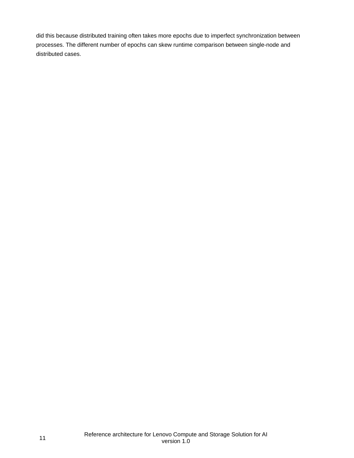did this because distributed training often takes more epochs due to imperfect synchronization between processes. The different number of epochs can skew runtime comparison between single-node and distributed cases.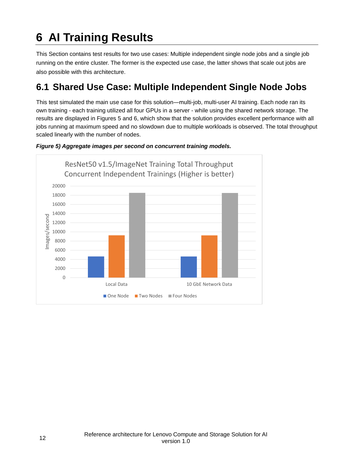## <span id="page-14-0"></span>**6 AI Training Results**

This Section contains test results for two use cases: Multiple independent single node jobs and a single job running on the entire cluster. The former is the expected use case, the latter shows that scale out jobs are also possible with this architecture.

#### <span id="page-14-1"></span>**6.1 Shared Use Case: Multiple Independent Single Node Jobs**

This test simulated the main use case for this solution―multi-job, multi-user AI training. Each node ran its own training - each training utilized all four GPUs in a server - while using the shared network storage. The results are displayed in Figures 5 and 6, which show that the solution provides excellent performance with all jobs running at maximum speed and no slowdown due to multiple workloads is observed. The total throughput scaled linearly with the number of nodes.



#### *Figure 5) Aggregate images per second on concurrent training models.*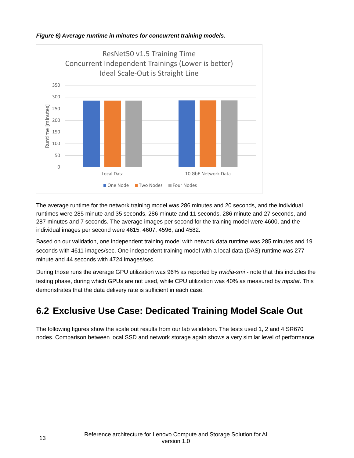



The average runtime for the network training model was 286 minutes and 20 seconds, and the individual runtimes were 285 minute and 35 seconds, 286 minute and 11 seconds, 286 minute and 27 seconds, and 287 minutes and 7 seconds. The average images per second for the training model were 4600, and the individual images per second were 4615, 4607, 4596, and 4582.

Based on our validation, one independent training model with network data runtime was 285 minutes and 19 seconds with 4611 images/sec. One independent training model with a local data (DAS) runtime was 277 minute and 44 seconds with 4724 images/sec.

During those runs the average GPU utilization was 96% as reported by *nvidia-smi* - note that this includes the testing phase, during which GPUs are not used, while CPU utilization was 40% as measured by *mpstat*. This demonstrates that the data delivery rate is sufficient in each case.

#### <span id="page-15-0"></span>**6.2 Exclusive Use Case: Dedicated Training Model Scale Out**

The following figures show the scale out results from our lab validation. The tests used 1, 2 and 4 SR670 nodes. Comparison between local SSD and network storage again shows a very similar level of performance.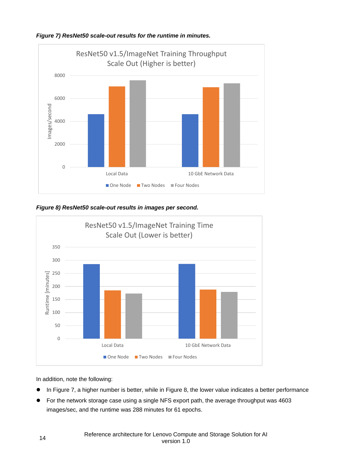

*Figure 7) ResNet50 scale-out results for the runtime in minutes.*

*Figure 8) ResNet50 scale-out results in images per second.*



In addition, note the following:

- In Figure 7, a higher number is better, while in Figure 8, the lower value indicates a better performance
- For the network storage case using a single NFS export path, the average throughput was 4603 images/sec, and the runtime was 288 minutes for 61 epochs.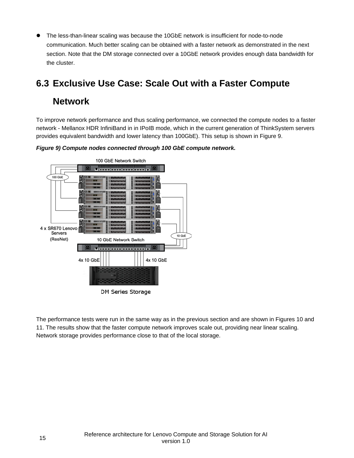The less-than-linear scaling was because the 10GbE network is insufficient for node-to-node communication. Much better scaling can be obtained with a faster network as demonstrated in the next section. Note that the DM storage connected over a 10GbE network provides enough data bandwidth for the cluster.

#### <span id="page-17-0"></span>**6.3 Exclusive Use Case: Scale Out with a Faster Compute**

#### **Network**

To improve network performance and thus scaling performance, we connected the compute nodes to a faster network - Mellanox HDR InfiniBand in in IPoIB mode, which in the current generation of ThinkSystem servers provides equivalent bandwidth and lower latency than 100GbE). This setup is shown in [Figure 9.](#page-17-1)

<span id="page-17-1"></span>



The performance tests were run in the same way as in the previous section and are shown in Figures 10 and 11. The results show that the faster compute network improves scale out, providing near linear scaling. Network storage provides performance close to that of the local storage.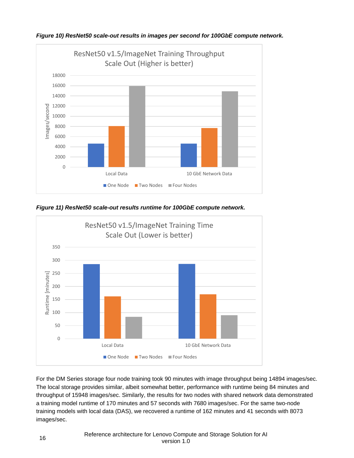

*Figure 10) ResNet50 scale-out results in images per second for 100GbE compute network.*

*Figure 11) ResNet50 scale-out results runtime for 100GbE compute network.*



For the DM Series storage four node training took 90 minutes with image throughput being 14894 images/sec. The local storage provides similar, albeit somewhat better, performance with runtime being 84 minutes and throughput of 15948 images/sec. Similarly, the results for two nodes with shared network data demonstrated a training model runtime of 170 minutes and 57 seconds with 7680 images/sec. For the same two-node training models with local data (DAS), we recovered a runtime of 162 minutes and 41 seconds with 8073 images/sec.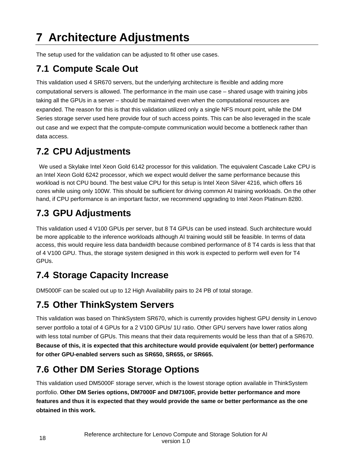## <span id="page-20-0"></span>**7 Architecture Adjustments**

The setup used for the validation can be adjusted to fit other use cases.

### <span id="page-20-1"></span>**7.1 Compute Scale Out**

This validation used 4 SR670 servers, but the underlying architecture is flexible and adding more computational servers is allowed. The performance in the main use case – shared usage with training jobs taking all the GPUs in a server – should be maintained even when the computational resources are expanded. The reason for this is that this validation utilized only a single NFS mount point, while the DM Series storage server used here provide four of such access points. This can be also leveraged in the scale out case and we expect that the compute-compute communication would become a bottleneck rather than data access.

### <span id="page-20-2"></span>**7.2 CPU Adjustments**

We used a Skylake Intel Xeon Gold 6142 processor for this validation. The equivalent Cascade Lake CPU is an Intel Xeon Gold 6242 processor, which we expect would deliver the same performance because this workload is not CPU bound. The best value CPU for this setup is Intel Xeon Silver 4216, which offers 16 cores while using only 100W. This should be sufficient for driving common AI training workloads. On the other hand, if CPU performance is an important factor, we recommend upgrading to Intel Xeon Platinum 8280.

### <span id="page-20-3"></span>**7.3 GPU Adjustments**

This validation used 4 V100 GPUs per server, but 8 T4 GPUs can be used instead. Such architecture would be more applicable to the inference workloads although AI training would still be feasible. In terms of data access, this would require less data bandwidth because combined performance of 8 T4 cards is less that that of 4 V100 GPU. Thus, the storage system designed in this work is expected to perform well even for T4 GPUs.

### <span id="page-20-4"></span>**7.4 Storage Capacity Increase**

DM5000F can be scaled out up to 12 High Availability pairs to 24 PB of total storage.

### <span id="page-20-5"></span>**7.5 Other ThinkSystem Servers**

This validation was based on ThinkSystem SR670, which is currently provides highest GPU density in Lenovo server portfolio a total of 4 GPUs for a 2 V100 GPUs/ 1U ratio. Other GPU servers have lower ratios along with less total number of GPUs. This means that their data requirements would be less than that of a SR670. **Because of this, it is expected that this architecture would provide equivalent (or better) performance for other GPU-enabled servers such as SR650, SR655, or SR665.**

### <span id="page-20-6"></span>**7.6 Other DM Series Storage Options**

This validation used DM5000F storage server, which is the lowest storage option available in ThinkSystem portfolio. **Other DM Series options, DM7000F and DM7100F, provide better performance and more features and thus it is expected that they would provide the same or better performance as the one obtained in this work.**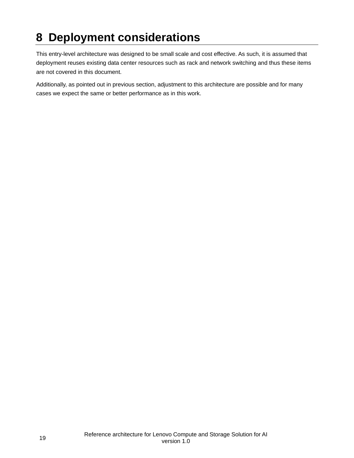### <span id="page-21-0"></span>**8 Deployment considerations**

This entry-level architecture was designed to be small scale and cost effective. As such, it is assumed that deployment reuses existing data center resources such as rack and network switching and thus these items are not covered in this document.

Additionally, as pointed out in previous section, adjustment to this architecture are possible and for many cases we expect the same or better performance as in this work.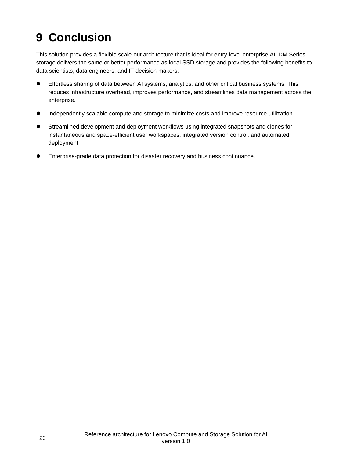## <span id="page-22-0"></span>**9 Conclusion**

This solution provides a flexible scale-out architecture that is ideal for entry-level enterprise AI. DM Series storage delivers the same or better performance as local SSD storage and provides the following benefits to data scientists, data engineers, and IT decision makers:

- Effortless sharing of data between AI systems, analytics, and other critical business systems. This reduces infrastructure overhead, improves performance, and streamlines data management across the enterprise.
- Independently scalable compute and storage to minimize costs and improve resource utilization.
- Streamlined development and deployment workflows using integrated snapshots and clones for instantaneous and space-efficient user workspaces, integrated version control, and automated deployment.
- Enterprise-grade data protection for disaster recovery and business continuance.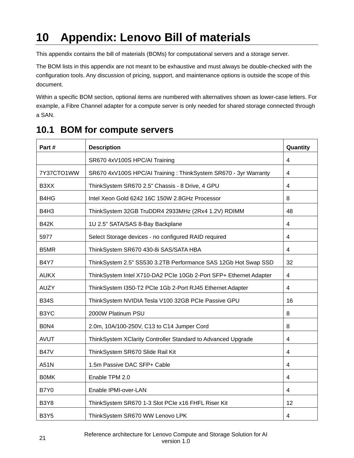### <span id="page-23-0"></span>**10 Appendix: Lenovo Bill of materials**

This appendix contains the bill of materials (BOMs) for computational servers and a storage server.

The BOM lists in this appendix are not meant to be exhaustive and must always be double-checked with the configuration tools. Any discussion of pricing, support, and maintenance options is outside the scope of this document.

Within a specific BOM section, optional items are numbered with alternatives shown as lower-case letters. For example, a Fibre Channel adapter for a compute server is only needed for shared storage connected through a SAN.

| Part#             | <b>Description</b>                                                | Quantity                |
|-------------------|-------------------------------------------------------------------|-------------------------|
|                   | SR670 4xV100S HPC/AI Training                                     | 4                       |
| 7Y37CTO1WW        | SR670 4xV100S HPC/AI Training: ThinkSystem SR670 - 3yr Warranty   | 4                       |
| B3XX              | ThinkSystem SR670 2.5" Chassis - 8 Drive, 4 GPU                   | $\overline{4}$          |
| B4HG              | Intel Xeon Gold 6242 16C 150W 2.8GHz Processor                    | 8                       |
| B4H3              | ThinkSystem 32GB TruDDR4 2933MHz (2Rx4 1.2V) RDIMM                | 48                      |
| <b>B42K</b>       | 1U 2.5" SATA/SAS 8-Bay Backplane                                  | $\overline{\mathbf{4}}$ |
| 5977              | Select Storage devices - no configured RAID required              | $\overline{\mathbf{4}}$ |
| B5MR              | ThinkSystem SR670 430-8i SAS/SATA HBA                             | 4                       |
| <b>B4Y7</b>       | ThinkSystem 2.5" SS530 3.2TB Performance SAS 12Gb Hot Swap SSD    | 32                      |
| <b>AUKX</b>       | ThinkSystem Intel X710-DA2 PCIe 10Gb 2-Port SFP+ Ethernet Adapter | $\overline{4}$          |
| <b>AUZY</b>       | ThinkSystem I350-T2 PCIe 1Gb 2-Port RJ45 Ethernet Adapter         | $\overline{4}$          |
| <b>B34S</b>       | ThinkSystem NVIDIA Tesla V100 32GB PCIe Passive GPU               | 16                      |
| B <sub>3</sub> YC | 2000W Platinum PSU                                                | 8                       |
| B0N4              | 2.0m, 10A/100-250V, C13 to C14 Jumper Cord                        | 8                       |
| <b>AVUT</b>       | ThinkSystem XClarity Controller Standard to Advanced Upgrade      | 4                       |
| <b>B47V</b>       | ThinkSystem SR670 Slide Rail Kit                                  | 4                       |
| A51N              | 1.5m Passive DAC SFP+ Cable                                       | $\overline{\mathbf{4}}$ |
| <b>BOMK</b>       | Enable TPM 2.0                                                    | 4                       |
| <b>B7Y0</b>       | Enable IPMI-over-LAN                                              | 4                       |
| <b>B3Y8</b>       | ThinkSystem SR670 1-3 Slot PCIe x16 FHFL Riser Kit                | 12                      |
| <b>B3Y5</b>       | ThinkSystem SR670 WW Lenovo LPK                                   | 4                       |

#### <span id="page-23-1"></span>**10.1 BOM for compute servers**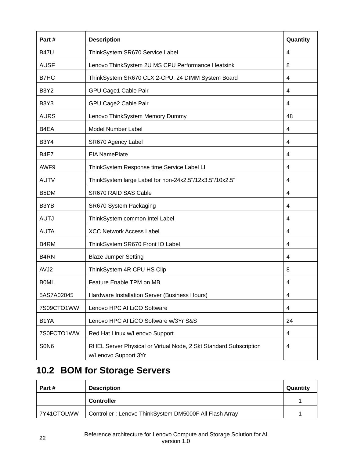| Part#                         | <b>Description</b>                                                                        | Quantity                |
|-------------------------------|-------------------------------------------------------------------------------------------|-------------------------|
| <b>B47U</b>                   | ThinkSystem SR670 Service Label                                                           | 4                       |
| <b>AUSF</b>                   | Lenovo ThinkSystem 2U MS CPU Performance Heatsink                                         | 8                       |
| B7HC                          | ThinkSystem SR670 CLX 2-CPU, 24 DIMM System Board                                         | 4                       |
| <b>B3Y2</b>                   | GPU Cage1 Cable Pair                                                                      | 4                       |
| B <sub>3</sub> Y <sub>3</sub> | GPU Cage2 Cable Pair                                                                      | 4                       |
| <b>AURS</b>                   | Lenovo ThinkSystem Memory Dummy                                                           | 48                      |
| B4EA                          | Model Number Label                                                                        | 4                       |
| <b>B3Y4</b>                   | SR670 Agency Label                                                                        | 4                       |
| <b>B4E7</b>                   | <b>EIA NamePlate</b>                                                                      | 4                       |
| AWF9                          | ThinkSystem Response time Service Label LI                                                | 4                       |
| <b>AUTV</b>                   | ThinkSystem large Label for non-24x2.5"/12x3.5"/10x2.5"                                   | 4                       |
| B5DM                          | SR670 RAID SAS Cable                                                                      | 4                       |
| B3YB                          | SR670 System Packaging                                                                    | 4                       |
| <b>AUTJ</b>                   | ThinkSystem common Intel Label                                                            | 4                       |
| <b>AUTA</b>                   | <b>XCC Network Access Label</b>                                                           | 4                       |
| B4RM                          | ThinkSystem SR670 Front IO Label                                                          | 4                       |
| B <sub>4</sub> RN             | <b>Blaze Jumper Setting</b>                                                               | 4                       |
| AVJ2                          | ThinkSystem 4R CPU HS Clip                                                                | 8                       |
| <b>BOML</b>                   | Feature Enable TPM on MB                                                                  | $\overline{\mathbf{4}}$ |
| 5AS7A02045                    | Hardware Installation Server (Business Hours)                                             | 4                       |
| 7S09CTO1WW                    | Lenovo HPC AI LiCO Software                                                               | 4                       |
| B <sub>1</sub> YA             | Lenovo HPC AI LiCO Software w/3Yr S&S                                                     | 24                      |
| 7S0FCTO1WW                    | Red Hat Linux w/Lenovo Support                                                            | 4                       |
| S <sub>0</sub> N <sub>6</sub> | RHEL Server Physical or Virtual Node, 2 Skt Standard Subscription<br>w/Lenovo Support 3Yr | 4                       |

### <span id="page-24-0"></span>**10.2 BOM for Storage Servers**

| Part #     | <b>Description</b>                                     | Quantity |
|------------|--------------------------------------------------------|----------|
|            | <b>Controller</b>                                      |          |
| 7Y41CTOLWW | Controller: Lenovo ThinkSystem DM5000F All Flash Array |          |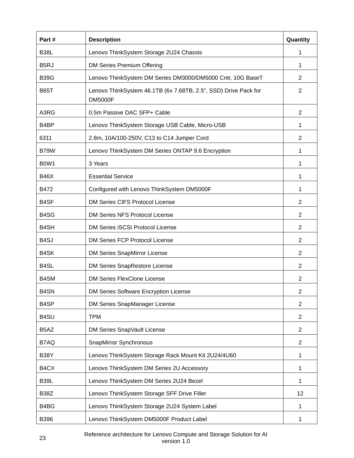| Part#                         | <b>Description</b>                                                                | Quantity       |
|-------------------------------|-----------------------------------------------------------------------------------|----------------|
| <b>B38L</b>                   | Lenovo ThinkSystem Storage 2U24 Chassis                                           | 1              |
| B <sub>5</sub> RJ             | DM Series Premium Offering                                                        | 1              |
| <b>B39G</b>                   | Lenovo ThinkSystem DM Series DM3000/DM5000 Cntr, 10G BaseT                        | $\overline{2}$ |
| <b>B65T</b>                   | Lenovo ThinkSystem 46.1TB (6x 7.68TB, 2.5", SSD) Drive Pack for<br><b>DM5000F</b> | 2              |
| A3RG                          | 0.5m Passive DAC SFP+ Cable                                                       | 2              |
| B <sub>4</sub> BP             | Lenovo ThinkSystem Storage USB Cable, Micro-USB                                   | 1              |
| 6311                          | 2.8m, 10A/100-250V, C13 to C14 Jumper Cord                                        | 2              |
| B79W                          | Lenovo ThinkSystem DM Series ONTAP 9.6 Encryption                                 | 1              |
| B <sub>0</sub> W <sub>1</sub> | 3 Years                                                                           | 1              |
| <b>B46X</b>                   | <b>Essential Service</b>                                                          | 1              |
| B472                          | Configured with Lenovo ThinkSystem DM5000F                                        | 1              |
| B4SF                          | <b>DM Series CIFS Protocol License</b>                                            | 2              |
| B4SG                          | DM Series NFS Protocol License                                                    | $\overline{2}$ |
| B <sub>4</sub> SH             | DM Series iSCSI Protocol License                                                  | $\overline{2}$ |
| B <sub>4</sub> SJ             | <b>DM Series FCP Protocol License</b>                                             | 2              |
| B4SK                          | DM Series SnapMirror License                                                      | $\overline{2}$ |
| B <sub>4</sub> SL             | <b>DM Series SnapRestore License</b>                                              | 2              |
| B4SM                          | <b>DM Series FlexClone License</b>                                                | 2              |
| B4SN                          | DM Series Software Encryption License                                             | $\overline{2}$ |
| B <sub>4</sub> SP             | DM Series SnapManager License                                                     | $\overline{2}$ |
| B4SU                          | <b>TPM</b>                                                                        | $\overline{2}$ |
| B <sub>5</sub> AZ             | DM Series SnapVault License                                                       | $\overline{2}$ |
| B7AQ                          | SnapMirror Synchronous                                                            | $\overline{2}$ |
| <b>B38Y</b>                   | Lenovo ThinkSystem Storage Rack Mount Kit 2U24/4U60                               | 1              |
| B4CX                          | Lenovo ThinkSystem DM Series 2U Accessory                                         | 1              |
| <b>B39L</b>                   | Lenovo ThinkSystem DM Series 2U24 Bezel                                           | 1              |
| <b>B38Z</b>                   | Lenovo ThinkSystem Storage SFF Drive Filler                                       | 12             |
| B4BG                          | Lenovo ThinkSystem Storage 2U24 System Label                                      | 1              |
| B396                          | Lenovo ThinkSystem DM5000F Product Label                                          | 1              |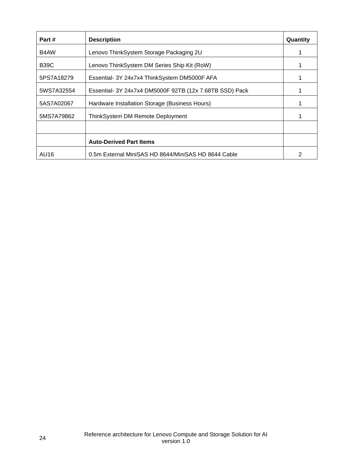| Part #      | <b>Description</b>                                      | Quantity |
|-------------|---------------------------------------------------------|----------|
| B4AW        | Lenovo ThinkSystem Storage Packaging 2U                 |          |
| <b>B39C</b> | Lenovo ThinkSystem DM Series Ship Kit (RoW)             |          |
| 5PS7A18279  | Essential- 3Y 24x7x4 ThinkSystem DM5000F AFA            |          |
| 5WS7A32554  | Essential- 3Y 24x7x4 DM5000F 92TB (12x 7.68TB SSD) Pack |          |
| 5AS7A02067  | Hardware Installation Storage (Business Hours)          |          |
| 5MS7A79862  | ThinkSystem DM Remote Deployment                        |          |
|             |                                                         |          |
|             | <b>Auto-Derived Part Items</b>                          |          |
| AU16        | 0.5m External MiniSAS HD 8644/MiniSAS HD 8644 Cable     | 2        |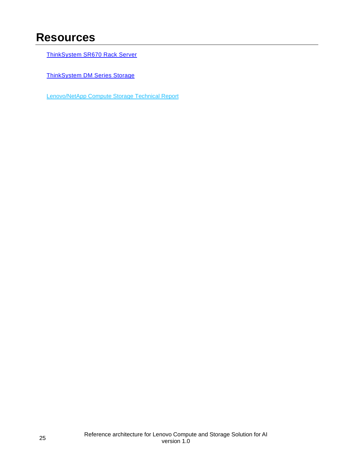### <span id="page-27-0"></span>**Resources**

[ThinkSystem SR670 Rack Server](https://www.lenovo.com/us/en/data-center/servers/racks/Thinksystem-SR670/p/77XX7SRSR67)

[ThinkSystem DM Series Storage](https://www.lenovo.com/us/en/data-center/storage/storage-area-network/thinksystem-dm-series/c/thinksystem-dm-series)

[Lenovo/NetApp Compute Storage Technical Report](https://www.netapp.com/us/media/tr-4810.pdf)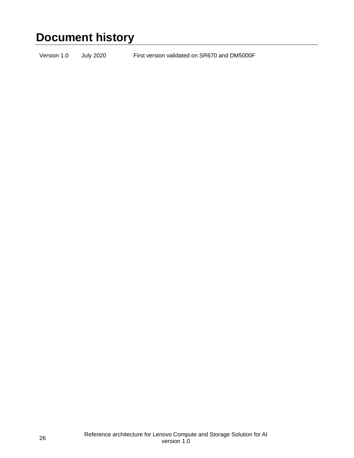### <span id="page-28-0"></span>**Document history**

Version 1.0 July 2020 First version validated on SR670 and DM5000F